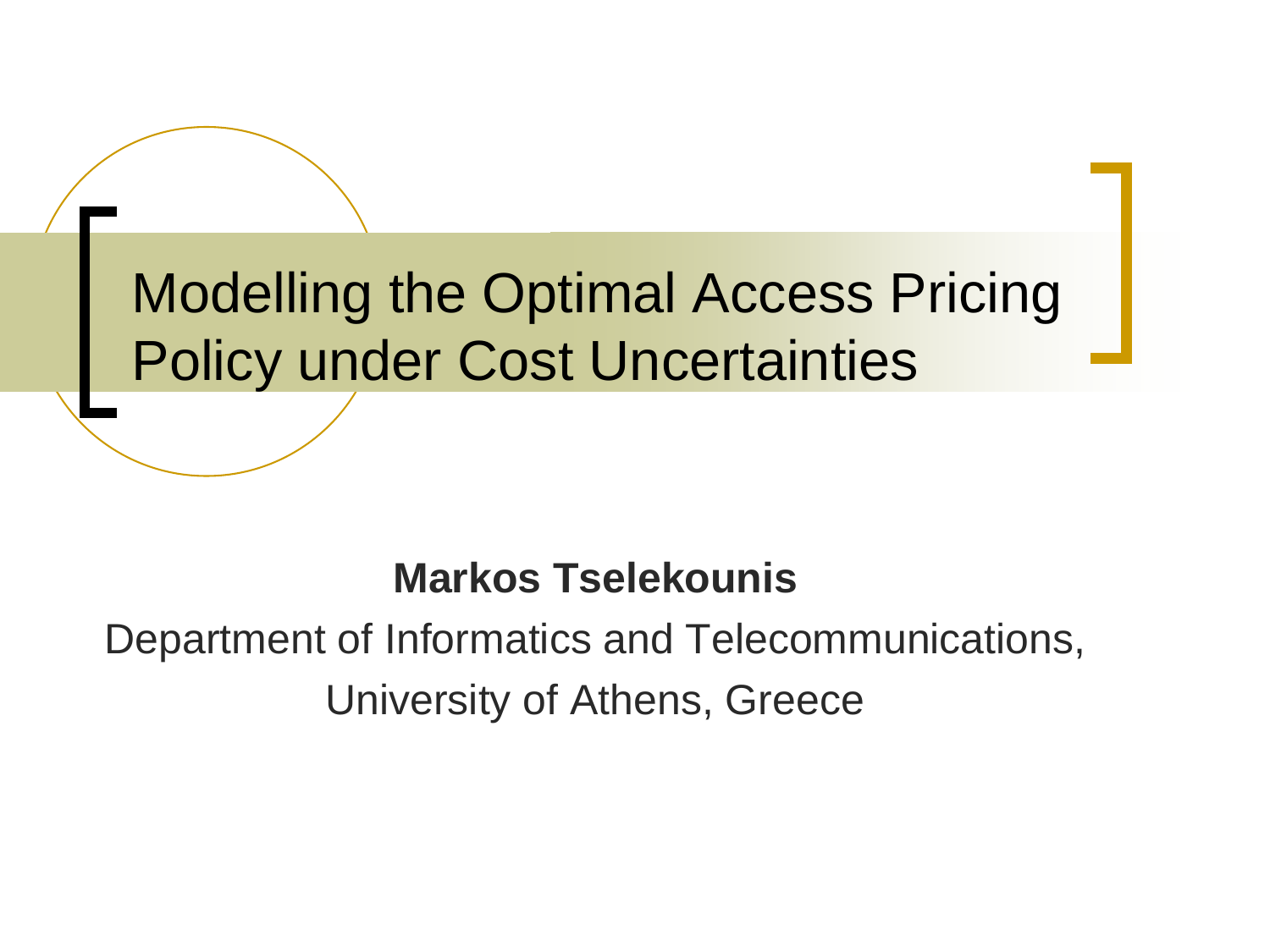Modelling the Optimal Access Pricing Policy under Cost Uncertainties

#### **Markos Tselekounis**

#### Department of Informatics and Telecommunications, University of Athens, Greece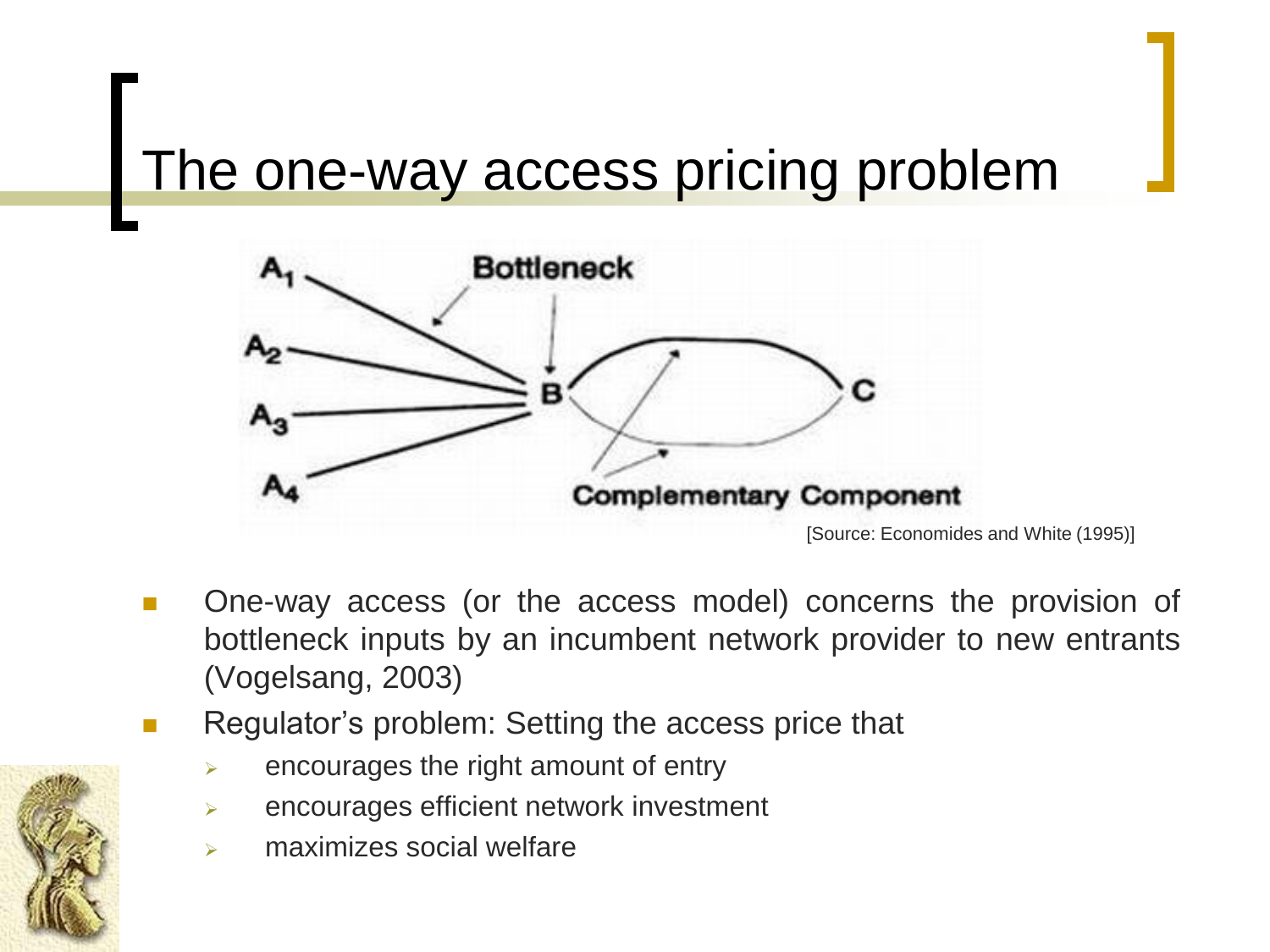#### The one-way access pricing problem



- One-way access (or the access model) concerns the provision of bottleneck inputs by an incumbent network provider to new entrants (Vogelsang, 2003)
- Regulator's problem: Setting the access price that
	- $\triangleright$  encourages the right amount of entry
	- $\triangleright$  encourages efficient network investment
	- maximizes social welfare

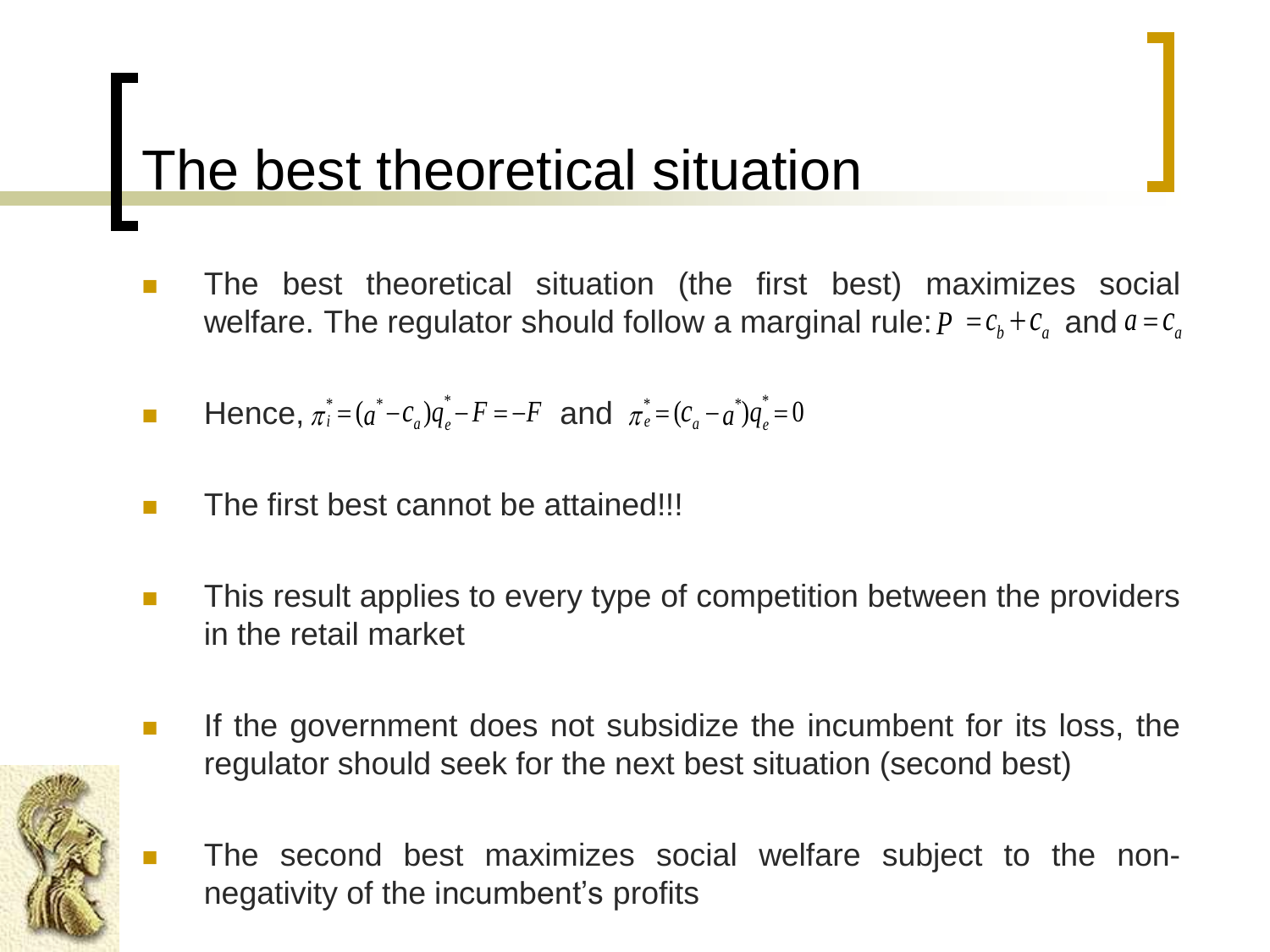# The best theoretical situation

- **The best theoretical situation (the first best) maximizes social** welfare. The regulator should follow a marginal rule:  $P = c_b + c_a$  and  $a = c_a$
- **Hence**,  $\pi_i^* = (a^* c_a)q_e^* F = -F$  and  $\pi_e^* = (c_a a^*)q_e^* = 0$
- $\blacksquare$  The first best cannot be attained!!!
- **This result applies to every type of competition between the providers** in the retail market
- If the government does not subsidize the incumbent for its loss, the regulator should seek for the next best situation (second best)



 The second best maximizes social welfare subject to the nonnegativity of the incumbent's profits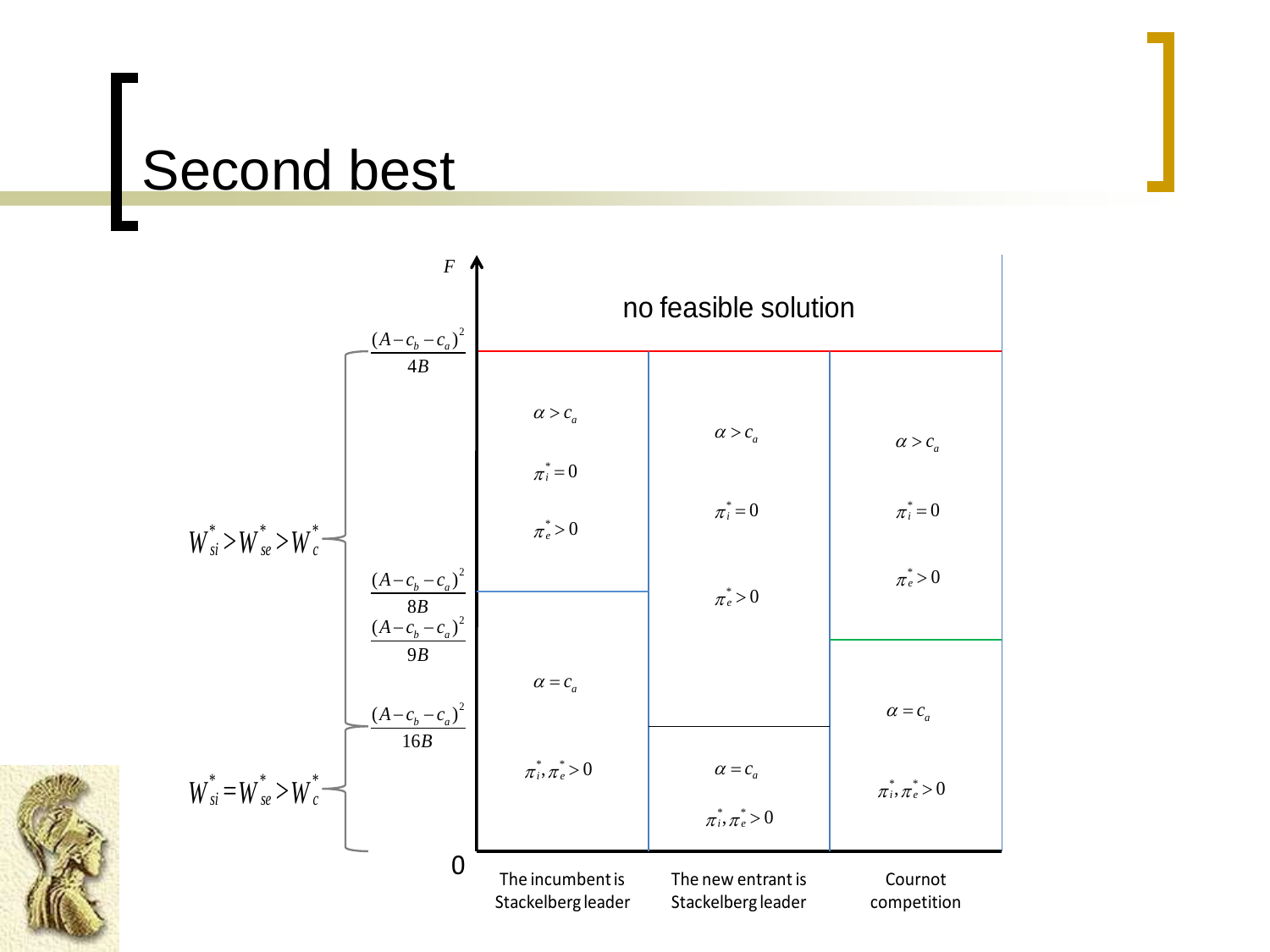#### Second best

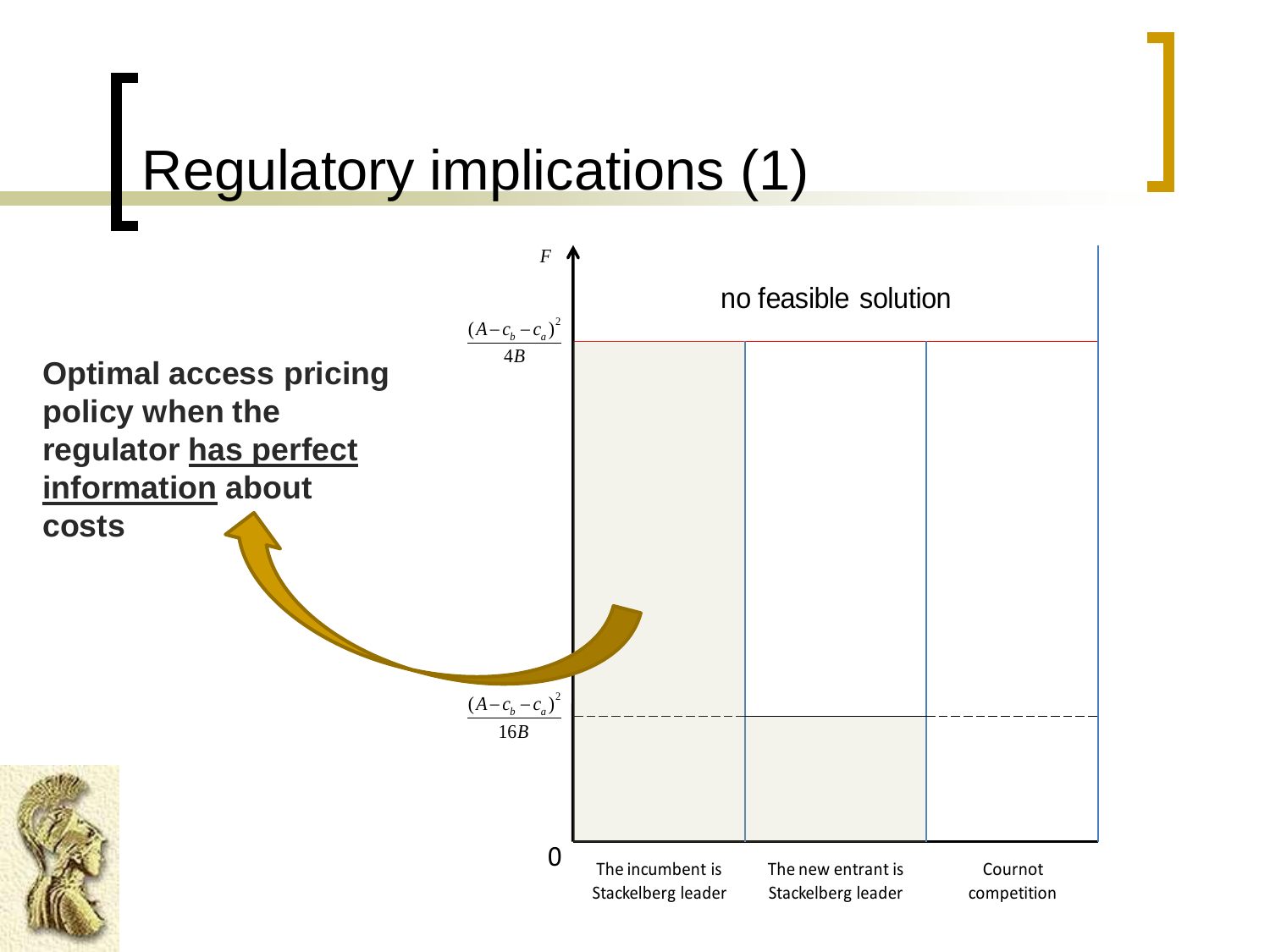## Regulatory implications (1)

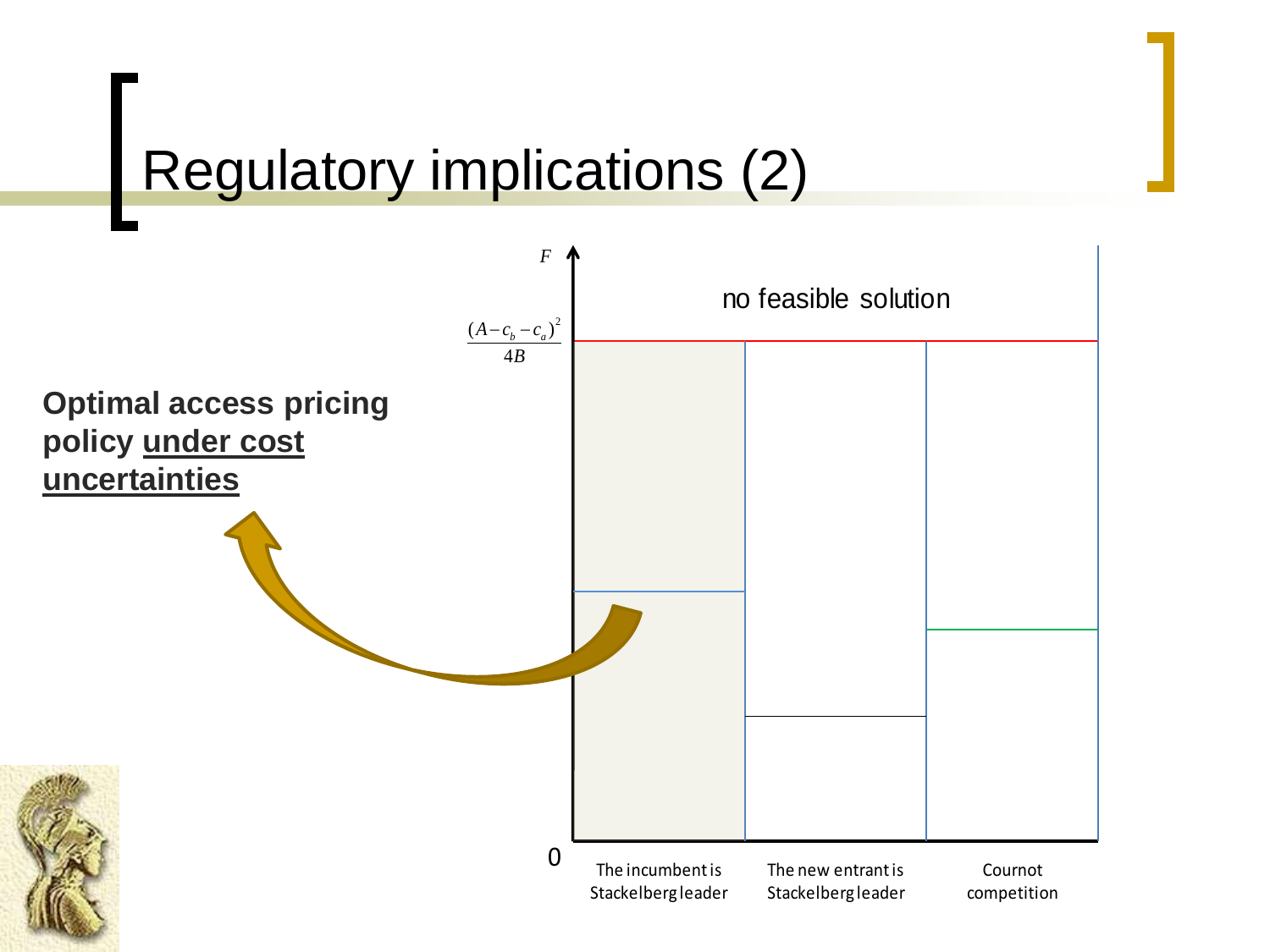## Regulatory implications (2)

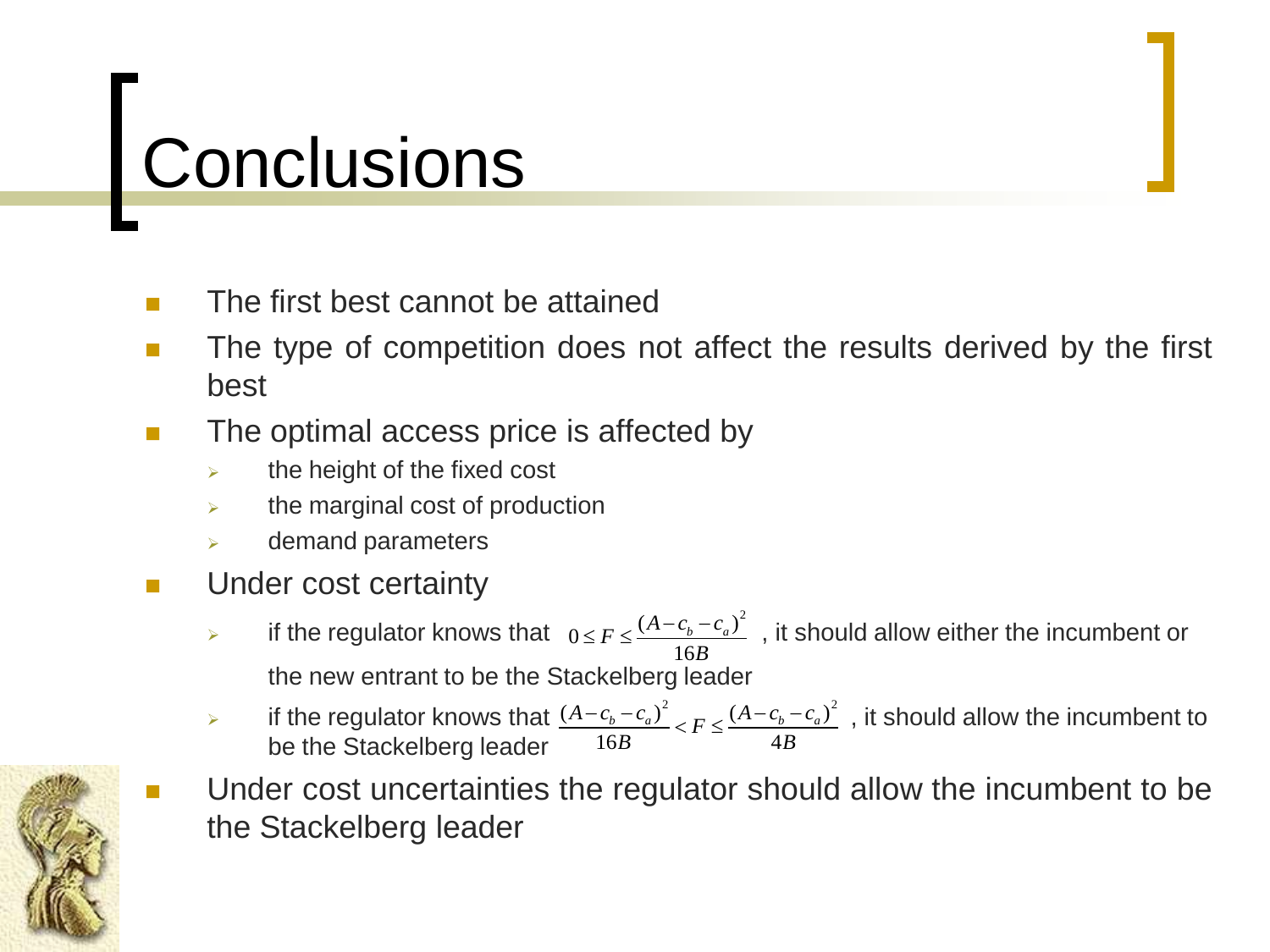# Conclusions

- **The first best cannot be attained**
- The type of competition does not affect the results derived by the first best
- The optimal access price is affected by
	- $\triangleright$  the height of the fixed cost
	- the marginal cost of production
	- demand parameters
- **Under cost certainty** 
	- if the regulator knows that  $0 \leq F \leq \frac{(A-c_b-c_a)^2}{\sqrt{1-\frac{(A-c_b-c_a)^2}{2}}}$ , it should allow either the incumbent or the new entrant to be the Stackelberg leader Figure 1.6B<br>
	if the regulator knows that  $0 \le F \le \frac{(A - c_b - c_a)^2}{16B}$ <br>
	the new entrant to be the Stackelberg leader<br>
	if the regulator knows that  $\frac{(A - c_b - c_a)^2}{16B} < F \le \frac{(A - c_b)^2}{16B}$ <br>
	Under cost uncertainties the regulator<br> 16  $F \leq \frac{(A - c_b - c_a)}{a}$ *B*  $\leq F \leq \frac{(A-c_b-c_a)}{16}$
	- if the regulator knows that  $\frac{(A-c_b-c_a)^2}{(A-c_b-c_a)^2}$ , it should allow the incumbent to be the Stackelberg leader  $\frac{(A-c_b-c_a)^2}{(B-c_b-c_a)^2}$   $\leq F \leq \frac{(A-c_b-c_a)^2}{(B-c_a)^2}$  $\frac{(c_b - c_a)}{16B} < F \leq \frac{(A - c_b)}{4}$  $\frac{(A - c_b - c_a)^2}{(A - c_b)^2} < F \leq \frac{(A - c_b - c_a)^2}{(A - c_a)^2}$  $\frac{-c_a}{B}$  <  $F \leq \frac{(A - c_b - A)}{4B}$ CREIDEIY IEQUEI<br> $\frac{-c_b - c_a^2}{16R} < F \leq \frac{(A - c_b - c_a^2)^2}{4R}$
	- Under cost uncertainties the regulator should allow the incumbent to be